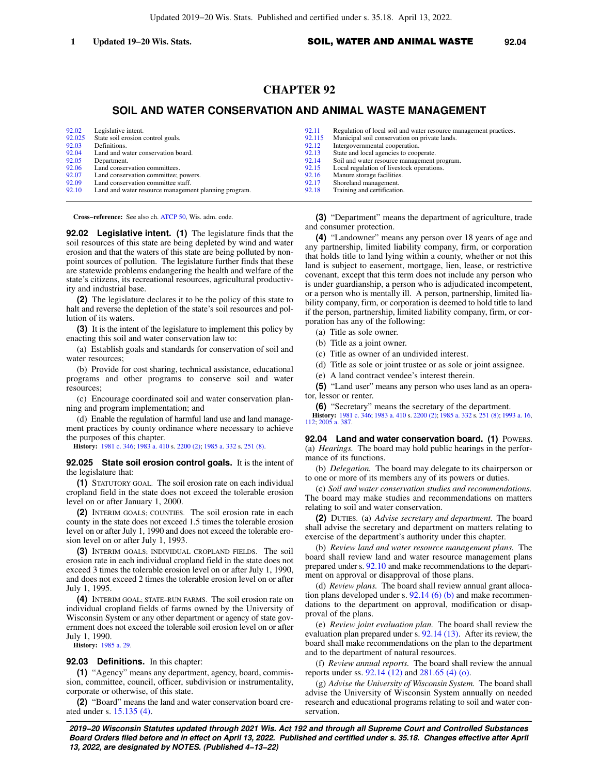# **CHAPTER 92**

## **SOIL AND WATER CONSERVATION AND ANIMAL WASTE MANAGEMENT**

| 92.02  | Legislative intent.                                  | 92.11  | Regulation of local soil and water resource management practices. |
|--------|------------------------------------------------------|--------|-------------------------------------------------------------------|
| 92.025 | State soil erosion control goals.                    | 92.115 | Municipal soil conservation on private lands.                     |
| 92.03  | Definitions.                                         | 92.12  | Intergovernmental cooperation.                                    |
| 92.04  | Land and water conservation board.                   | 92.13  | State and local agencies to cooperate.                            |
| 92.05  | Department.                                          | 92.14  | Soil and water resource management program.                       |
| 92.06  | Land conservation committees.                        | 92.15  | Local regulation of livestock operations.                         |
| 92.07  | Land conservation committee; powers.                 | 92.16  | Manure storage facilities.                                        |
| 92.09  | Land conservation committee staff.                   | 92.17  | Shoreland management.                                             |
| 92.10  | Land and water resource management planning program. | 92.18  | Training and certification.                                       |
|        |                                                      |        |                                                                   |

**Cross−reference:** See also ch. [ATCP 50,](https://docs-preview.legis.wisconsin.gov/document/administrativecode/ch.%20ATCP%2050) Wis. adm. code.

**92.02 Legislative intent. (1)** The legislature finds that the soil resources of this state are being depleted by wind and water erosion and that the waters of this state are being polluted by nonpoint sources of pollution. The legislature further finds that these are statewide problems endangering the health and welfare of the state's citizens, its recreational resources, agricultural productivity and industrial base.

**(2)** The legislature declares it to be the policy of this state to halt and reverse the depletion of the state's soil resources and pollution of its waters.

**(3)** It is the intent of the legislature to implement this policy by enacting this soil and water conservation law to:

(a) Establish goals and standards for conservation of soil and water resources;

(b) Provide for cost sharing, technical assistance, educational programs and other programs to conserve soil and water resources;

(c) Encourage coordinated soil and water conservation planning and program implementation; and

(d) Enable the regulation of harmful land use and land management practices by county ordinance where necessary to achieve the purposes of this chapter.

**History:** [1981 c. 346](https://docs-preview.legis.wisconsin.gov/document/acts/1981/346); [1983 a. 410](https://docs-preview.legis.wisconsin.gov/document/acts/1983/410) s. [2200 \(2\)](https://docs-preview.legis.wisconsin.gov/document/acts/1983/410,%20s.%202200); [1985 a. 332](https://docs-preview.legis.wisconsin.gov/document/acts/1985/332) s. [251 \(8\)](https://docs-preview.legis.wisconsin.gov/document/acts/1985/332,%20s.%20251).

**92.025 State soil erosion control goals.** It is the intent of the legislature that:

**(1)** STATUTORY GOAL. The soil erosion rate on each individual cropland field in the state does not exceed the tolerable erosion level on or after January 1, 2000.

**(2)** INTERIM GOALS; COUNTIES. The soil erosion rate in each county in the state does not exceed 1.5 times the tolerable erosion level on or after July 1, 1990 and does not exceed the tolerable erosion level on or after July 1, 1993.

**(3)** INTERIM GOALS; INDIVIDUAL CROPLAND FIELDS. The soil erosion rate in each individual cropland field in the state does not exceed 3 times the tolerable erosion level on or after July 1, 1990, and does not exceed 2 times the tolerable erosion level on or after July 1, 1995.

**(4)** INTERIM GOAL; STATE−RUN FARMS. The soil erosion rate on individual cropland fields of farms owned by the University of Wisconsin System or any other department or agency of state government does not exceed the tolerable soil erosion level on or after July 1, 1990.

**History:** [1985 a. 29.](https://docs-preview.legis.wisconsin.gov/document/acts/1985/29)

## **92.03 Definitions.** In this chapter:

**(1)** "Agency" means any department, agency, board, commission, committee, council, officer, subdivision or instrumentality, corporate or otherwise, of this state.

**(2)** "Board" means the land and water conservation board created under s. [15.135 \(4\).](https://docs-preview.legis.wisconsin.gov/document/statutes/15.135(4))

**(3)** "Department" means the department of agriculture, trade and consumer protection.

**(4)** "Landowner" means any person over 18 years of age and any partnership, limited liability company, firm, or corporation that holds title to land lying within a county, whether or not this land is subject to easement, mortgage, lien, lease, or restrictive covenant, except that this term does not include any person who is under guardianship, a person who is adjudicated incompetent, or a person who is mentally ill. A person, partnership, limited liability company, firm, or corporation is deemed to hold title to land if the person, partnership, limited liability company, firm, or corporation has any of the following:

(a) Title as sole owner.

(b) Title as a joint owner.

(c) Title as owner of an undivided interest.

(d) Title as sole or joint trustee or as sole or joint assignee.

(e) A land contract vendee's interest therein.

**(5)** "Land user" means any person who uses land as an operator, lessor or renter.

**(6)** "Secretary" means the secretary of the department. **History:** [1981 c. 346](https://docs-preview.legis.wisconsin.gov/document/acts/1981/346); [1983 a. 410](https://docs-preview.legis.wisconsin.gov/document/acts/1983/410) s. [2200 \(2\);](https://docs-preview.legis.wisconsin.gov/document/acts/1983/410,%20s.%202200) [1985 a. 332](https://docs-preview.legis.wisconsin.gov/document/acts/1985/332) s. [251 \(8\)](https://docs-preview.legis.wisconsin.gov/document/acts/1985/332,%20s.%20251); [1993 a. 16](https://docs-preview.legis.wisconsin.gov/document/acts/1993/16), [112](https://docs-preview.legis.wisconsin.gov/document/acts/1993/112); [2005 a. 387.](https://docs-preview.legis.wisconsin.gov/document/acts/2005/387)

**92.04 Land and water conservation board. (1) POWERS.** (a) *Hearings.* The board may hold public hearings in the performance of its functions.

(b) *Delegation.* The board may delegate to its chairperson or to one or more of its members any of its powers or duties.

(c) *Soil and water conservation studies and recommendations.* The board may make studies and recommendations on matters relating to soil and water conservation.

**(2)** DUTIES. (a) *Advise secretary and department.* The board shall advise the secretary and department on matters relating to exercise of the department's authority under this chapter.

(b) *Review land and water resource management plans.* The board shall review land and water resource management plans prepared under s. [92.10](https://docs-preview.legis.wisconsin.gov/document/statutes/92.10) and make recommendations to the department on approval or disapproval of those plans.

(d) *Review plans.* The board shall review annual grant allocation plans developed under s.  $92.14$  (6) (b) and make recommendations to the department on approval, modification or disapproval of the plans.

(e) *Review joint evaluation plan.* The board shall review the evaluation plan prepared under s. [92.14 \(13\).](https://docs-preview.legis.wisconsin.gov/document/statutes/92.14(13)) After its review, the board shall make recommendations on the plan to the department and to the department of natural resources.

(f) *Review annual reports.* The board shall review the annual reports under ss. [92.14 \(12\)](https://docs-preview.legis.wisconsin.gov/document/statutes/92.14(12)) and [281.65 \(4\) \(o\).](https://docs-preview.legis.wisconsin.gov/document/statutes/281.65(4)(o))

(g) *Advise the University of Wisconsin System.* The board shall advise the University of Wisconsin System annually on needed research and educational programs relating to soil and water conservation.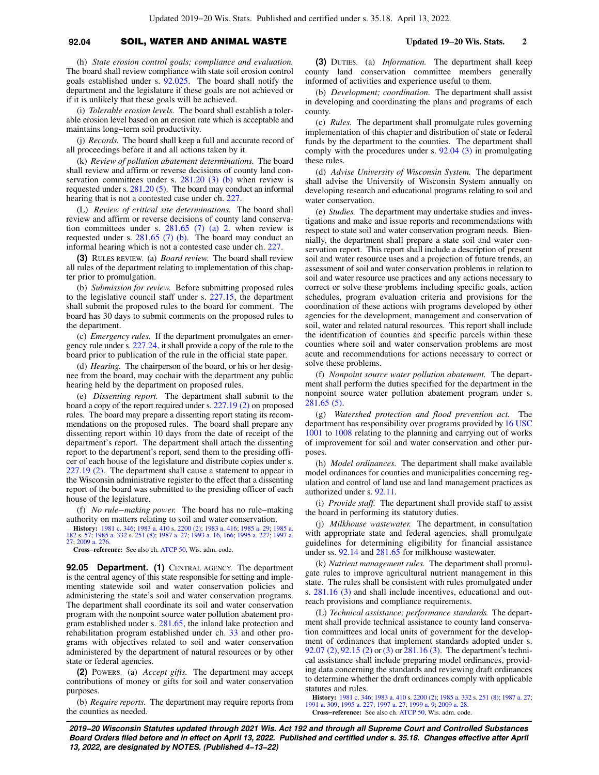### **92.04** SOIL, WATER AND ANIMAL WASTE **Updated 19−20 Wis. Stats. 2**

(h) *State erosion control goals; compliance and evaluation.* The board shall review compliance with state soil erosion control goals established under s. [92.025](https://docs-preview.legis.wisconsin.gov/document/statutes/92.025). The board shall notify the department and the legislature if these goals are not achieved or if it is unlikely that these goals will be achieved.

(i) *Tolerable erosion levels.* The board shall establish a tolerable erosion level based on an erosion rate which is acceptable and maintains long−term soil productivity.

(j) *Records.* The board shall keep a full and accurate record of all proceedings before it and all actions taken by it.

(k) *Review of pollution abatement determinations.* The board shall review and affirm or reverse decisions of county land conservation committees under s.  $281.20$  (3) (b) when review is requested under s. [281.20 \(5\).](https://docs-preview.legis.wisconsin.gov/document/statutes/281.20(5)) The board may conduct an informal hearing that is not a contested case under ch. [227](https://docs-preview.legis.wisconsin.gov/document/statutes/ch.%20227).

(L) *Review of critical site determinations.* The board shall review and affirm or reverse decisions of county land conservation committees under s. [281.65 \(7\) \(a\) 2.](https://docs-preview.legis.wisconsin.gov/document/statutes/281.65(7)(a)2.) when review is requested under s. [281.65 \(7\) \(b\).](https://docs-preview.legis.wisconsin.gov/document/statutes/281.65(7)(b)) The board may conduct an informal hearing which is not a contested case under ch. [227](https://docs-preview.legis.wisconsin.gov/document/statutes/ch.%20227).

**(3)** RULES REVIEW. (a) *Board review.* The board shall review all rules of the department relating to implementation of this chapter prior to promulgation.

(b) *Submission for review.* Before submitting proposed rules to the legislative council staff under s. [227.15](https://docs-preview.legis.wisconsin.gov/document/statutes/227.15), the department shall submit the proposed rules to the board for comment. The board has 30 days to submit comments on the proposed rules to the department.

(c) *Emergency rules.* If the department promulgates an emergency rule under s. [227.24,](https://docs-preview.legis.wisconsin.gov/document/statutes/227.24) it shall provide a copy of the rule to the board prior to publication of the rule in the official state paper.

(d) *Hearing.* The chairperson of the board, or his or her designee from the board, may cochair with the department any public hearing held by the department on proposed rules.

(e) *Dissenting report.* The department shall submit to the board a copy of the report required under s. [227.19 \(2\)](https://docs-preview.legis.wisconsin.gov/document/statutes/227.19(2)) on proposed rules. The board may prepare a dissenting report stating its recommendations on the proposed rules. The board shall prepare any dissenting report within 10 days from the date of receipt of the department's report. The department shall attach the dissenting report to the department's report, send them to the presiding officer of each house of the legislature and distribute copies under s. [227.19 \(2\).](https://docs-preview.legis.wisconsin.gov/document/statutes/227.19(2)) The department shall cause a statement to appear in the Wisconsin administrative register to the effect that a dissenting report of the board was submitted to the presiding officer of each house of the legislature.

(f) *No rule−making power.* The board has no rule−making authority on matters relating to soil and water conservation.

**History:** [1981 c. 346;](https://docs-preview.legis.wisconsin.gov/document/acts/1981/346) [1983 a. 410](https://docs-preview.legis.wisconsin.gov/document/acts/1983/410) s. [2200 \(2\);](https://docs-preview.legis.wisconsin.gov/document/acts/1983/410,%20s.%202200) [1983 a. 416](https://docs-preview.legis.wisconsin.gov/document/acts/1983/416); [1985 a. 29;](https://docs-preview.legis.wisconsin.gov/document/acts/1985/29) [1985 a.](https://docs-preview.legis.wisconsin.gov/document/acts/1985/182) [182](https://docs-preview.legis.wisconsin.gov/document/acts/1985/182) s. [57](https://docs-preview.legis.wisconsin.gov/document/acts/1985/182,%20s.%2057); [1985 a. 332](https://docs-preview.legis.wisconsin.gov/document/acts/1985/332) s. [251 \(8\)](https://docs-preview.legis.wisconsin.gov/document/acts/1985/332,%20s.%20251); [1987 a. 27;](https://docs-preview.legis.wisconsin.gov/document/acts/1987/27) [1993 a. 16,](https://docs-preview.legis.wisconsin.gov/document/acts/1993/16) [166;](https://docs-preview.legis.wisconsin.gov/document/acts/1993/166) [1995 a. 227;](https://docs-preview.legis.wisconsin.gov/document/acts/1995/227) [1997 a.](https://docs-preview.legis.wisconsin.gov/document/acts/1997/27) [27;](https://docs-preview.legis.wisconsin.gov/document/acts/1997/27) [2009 a. 276](https://docs-preview.legis.wisconsin.gov/document/acts/2009/276).

**Cross−reference:** See also ch. [ATCP 50,](https://docs-preview.legis.wisconsin.gov/document/administrativecode/ch.%20ATCP%2050) Wis. adm. code.

**92.05 Department. (1)** CENTRAL AGENCY. The department is the central agency of this state responsible for setting and implementing statewide soil and water conservation policies and administering the state's soil and water conservation programs. The department shall coordinate its soil and water conservation program with the nonpoint source water pollution abatement program established under s. [281.65](https://docs-preview.legis.wisconsin.gov/document/statutes/281.65), the inland lake protection and rehabilitation program established under ch. [33](https://docs-preview.legis.wisconsin.gov/document/statutes/ch.%2033) and other programs with objectives related to soil and water conservation administered by the department of natural resources or by other state or federal agencies.

**(2)** POWERS. (a) *Accept gifts.* The department may accept contributions of money or gifts for soil and water conservation purposes.

(b) *Require reports.* The department may require reports from the counties as needed.

**(3)** DUTIES. (a) *Information.* The department shall keep county land conservation committee members generally informed of activities and experience useful to them.

(b) *Development; coordination.* The department shall assist in developing and coordinating the plans and programs of each county.

(c) *Rules.* The department shall promulgate rules governing implementation of this chapter and distribution of state or federal funds by the department to the counties. The department shall comply with the procedures under s. [92.04 \(3\)](https://docs-preview.legis.wisconsin.gov/document/statutes/92.04(3)) in promulgating these rules.

(d) *Advise University of Wisconsin System.* The department shall advise the University of Wisconsin System annually on developing research and educational programs relating to soil and water conservation.

(e) *Studies.* The department may undertake studies and investigations and make and issue reports and recommendations with respect to state soil and water conservation program needs. Biennially, the department shall prepare a state soil and water conservation report. This report shall include a description of present soil and water resource uses and a projection of future trends, an assessment of soil and water conservation problems in relation to soil and water resource use practices and any actions necessary to correct or solve these problems including specific goals, action schedules, program evaluation criteria and provisions for the coordination of these actions with programs developed by other agencies for the development, management and conservation of soil, water and related natural resources. This report shall include the identification of counties and specific parcels within these counties where soil and water conservation problems are most acute and recommendations for actions necessary to correct or solve these problems.

(f) *Nonpoint source water pollution abatement.* The department shall perform the duties specified for the department in the nonpoint source water pollution abatement program under s. [281.65 \(5\).](https://docs-preview.legis.wisconsin.gov/document/statutes/281.65(5))

(g) *Watershed protection and flood prevention act.* The department has responsibility over programs provided by [16 USC](https://docs-preview.legis.wisconsin.gov/document/usc/16%20USC%201001) [1001](https://docs-preview.legis.wisconsin.gov/document/usc/16%20USC%201001) to [1008](https://docs-preview.legis.wisconsin.gov/document/usc/16%20USC%201008) relating to the planning and carrying out of works of improvement for soil and water conservation and other purposes.

(h) *Model ordinances.* The department shall make available model ordinances for counties and municipalities concerning regulation and control of land use and land management practices as authorized under s. [92.11](https://docs-preview.legis.wisconsin.gov/document/statutes/92.11).

(i) *Provide staff.* The department shall provide staff to assist the board in performing its statutory duties.

(j) *Milkhouse wastewater.* The department, in consultation with appropriate state and federal agencies, shall promulgate guidelines for determining eligibility for financial assistance under ss. [92.14](https://docs-preview.legis.wisconsin.gov/document/statutes/92.14) and [281.65](https://docs-preview.legis.wisconsin.gov/document/statutes/281.65) for milkhouse wastewater.

(k) *Nutrient management rules.* The department shall promulgate rules to improve agricultural nutrient management in this state. The rules shall be consistent with rules promulgated under s. [281.16 \(3\)](https://docs-preview.legis.wisconsin.gov/document/statutes/281.16(3)) and shall include incentives, educational and outreach provisions and compliance requirements.

(L) *Technical assistance; performance standards.* The department shall provide technical assistance to county land conservation committees and local units of government for the development of ordinances that implement standards adopted under s. [92.07 \(2\),](https://docs-preview.legis.wisconsin.gov/document/statutes/92.07(2)) [92.15 \(2\)](https://docs-preview.legis.wisconsin.gov/document/statutes/92.15(2)) or [\(3\)](https://docs-preview.legis.wisconsin.gov/document/statutes/92.15(3)) or [281.16 \(3\).](https://docs-preview.legis.wisconsin.gov/document/statutes/281.16(3)) The department's technical assistance shall include preparing model ordinances, providing data concerning the standards and reviewing draft ordinances to determine whether the draft ordinances comply with applicable statutes and rules.

**History:** [1981 c. 346](https://docs-preview.legis.wisconsin.gov/document/acts/1981/346); [1983 a. 410](https://docs-preview.legis.wisconsin.gov/document/acts/1983/410) s. [2200 \(2\)](https://docs-preview.legis.wisconsin.gov/document/acts/1983/410,%20s.%202200); [1985 a. 332](https://docs-preview.legis.wisconsin.gov/document/acts/1985/332) s. [251 \(8\);](https://docs-preview.legis.wisconsin.gov/document/acts/1985/332,%20s.%20251) [1987 a. 27](https://docs-preview.legis.wisconsin.gov/document/acts/1987/27); [1991 a. 309;](https://docs-preview.legis.wisconsin.gov/document/acts/1991/309) [1995 a. 227;](https://docs-preview.legis.wisconsin.gov/document/acts/1995/227) [1997 a. 27;](https://docs-preview.legis.wisconsin.gov/document/acts/1997/27) [1999 a. 9](https://docs-preview.legis.wisconsin.gov/document/acts/1999/9); [2009 a. 28.](https://docs-preview.legis.wisconsin.gov/document/acts/2009/28) **Cross−reference:** See also ch. [ATCP 50](https://docs-preview.legis.wisconsin.gov/document/administrativecode/ch.%20ATCP%2050), Wis. adm. code.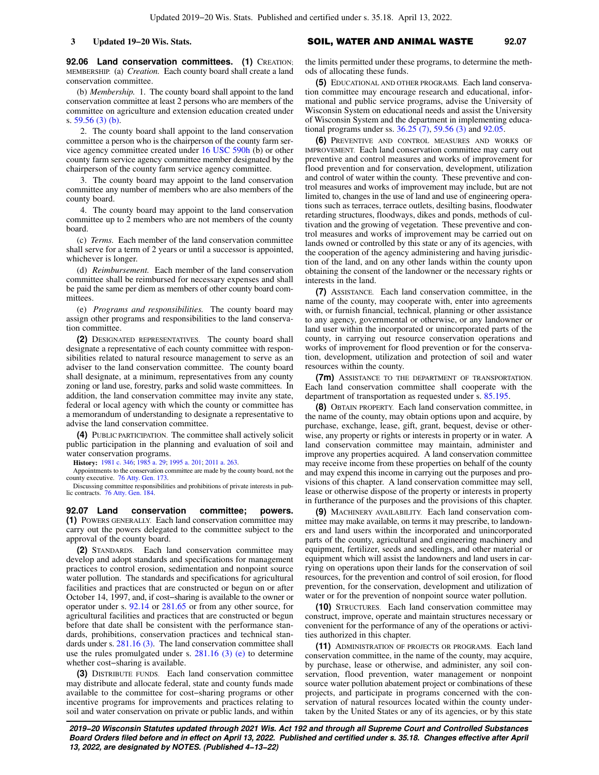**92.06 Land conservation committees. (1)** CREATION; MEMBERSHIP. (a) *Creation.* Each county board shall create a land conservation committee.

(b) *Membership.* 1. The county board shall appoint to the land conservation committee at least 2 persons who are members of the committee on agriculture and extension education created under s. [59.56 \(3\) \(b\).](https://docs-preview.legis.wisconsin.gov/document/statutes/59.56(3)(b))

2. The county board shall appoint to the land conservation committee a person who is the chairperson of the county farm service agency committee created under [16 USC 590h](https://docs-preview.legis.wisconsin.gov/document/usc/16%20USC%20590h) (b) or other county farm service agency committee member designated by the chairperson of the county farm service agency committee.

3. The county board may appoint to the land conservation committee any number of members who are also members of the county board.

4. The county board may appoint to the land conservation committee up to 2 members who are not members of the county board.

(c) *Terms.* Each member of the land conservation committee shall serve for a term of 2 years or until a successor is appointed, whichever is longer.

(d) *Reimbursement.* Each member of the land conservation committee shall be reimbursed for necessary expenses and shall be paid the same per diem as members of other county board committees.

(e) *Programs and responsibilities.* The county board may assign other programs and responsibilities to the land conservation committee.

**(2)** DESIGNATED REPRESENTATIVES. The county board shall designate a representative of each county committee with responsibilities related to natural resource management to serve as an adviser to the land conservation committee. The county board shall designate, at a minimum, representatives from any county zoning or land use, forestry, parks and solid waste committees. In addition, the land conservation committee may invite any state, federal or local agency with which the county or committee has a memorandum of understanding to designate a representative to advise the land conservation committee.

**(4)** PUBLIC PARTICIPATION. The committee shall actively solicit public participation in the planning and evaluation of soil and water conservation programs.

**History:** [1981 c. 346](https://docs-preview.legis.wisconsin.gov/document/acts/1981/346); [1985 a. 29;](https://docs-preview.legis.wisconsin.gov/document/acts/1985/29) [1995 a. 201](https://docs-preview.legis.wisconsin.gov/document/acts/1995/201); [2011 a. 263.](https://docs-preview.legis.wisconsin.gov/document/acts/2011/263)

Appointments to the conservation committee are made by the county board, not the county executive. [76 Atty. Gen. 173.](https://docs-preview.legis.wisconsin.gov/document/oag/vol76-173)

Discussing committee responsibilities and prohibitions of private interests in public contracts. [76 Atty. Gen. 184](https://docs-preview.legis.wisconsin.gov/document/oag/vol76-184).

**92.07 Land conservation committee; powers. (1)** POWERS GENERALLY. Each land conservation committee may carry out the powers delegated to the committee subject to the approval of the county board.

**(2)** STANDARDS. Each land conservation committee may develop and adopt standards and specifications for management practices to control erosion, sedimentation and nonpoint source water pollution. The standards and specifications for agricultural facilities and practices that are constructed or begun on or after October 14, 1997, and, if cost−sharing is available to the owner or operator under s. [92.14](https://docs-preview.legis.wisconsin.gov/document/statutes/92.14) or [281.65](https://docs-preview.legis.wisconsin.gov/document/statutes/281.65) or from any other source, for agricultural facilities and practices that are constructed or begun before that date shall be consistent with the performance standards, prohibitions, conservation practices and technical standards under s. [281.16 \(3\)](https://docs-preview.legis.wisconsin.gov/document/statutes/281.16(3)). The land conservation committee shall use the rules promulgated under s.  $281.16$  (3) (e) to determine whether cost−sharing is available.

**(3)** DISTRIBUTE FUNDS. Each land conservation committee may distribute and allocate federal, state and county funds made available to the committee for cost−sharing programs or other incentive programs for improvements and practices relating to soil and water conservation on private or public lands, and within

### **3 Updated 19−20 Wis. Stats.** SOIL, WATER AND ANIMAL WASTE 92.07

the limits permitted under these programs, to determine the methods of allocating these funds.

**(5)** EDUCATIONAL AND OTHER PROGRAMS. Each land conservation committee may encourage research and educational, informational and public service programs, advise the University of Wisconsin System on educational needs and assist the University of Wisconsin System and the department in implementing educational programs under ss. [36.25 \(7\),](https://docs-preview.legis.wisconsin.gov/document/statutes/36.25(7)) [59.56 \(3\)](https://docs-preview.legis.wisconsin.gov/document/statutes/59.56(3)) and [92.05.](https://docs-preview.legis.wisconsin.gov/document/statutes/92.05)

**(6)** PREVENTIVE AND CONTROL MEASURES AND WORKS OF IMPROVEMENT. Each land conservation committee may carry out preventive and control measures and works of improvement for flood prevention and for conservation, development, utilization and control of water within the county. These preventive and control measures and works of improvement may include, but are not limited to, changes in the use of land and use of engineering operations such as terraces, terrace outlets, desilting basins, floodwater retarding structures, floodways, dikes and ponds, methods of cultivation and the growing of vegetation. These preventive and control measures and works of improvement may be carried out on lands owned or controlled by this state or any of its agencies, with the cooperation of the agency administering and having jurisdiction of the land, and on any other lands within the county upon obtaining the consent of the landowner or the necessary rights or interests in the land.

**(7)** ASSISTANCE. Each land conservation committee, in the name of the county, may cooperate with, enter into agreements with, or furnish financial, technical, planning or other assistance to any agency, governmental or otherwise, or any landowner or land user within the incorporated or unincorporated parts of the county, in carrying out resource conservation operations and works of improvement for flood prevention or for the conservation, development, utilization and protection of soil and water resources within the county.

**(7m)** ASSISTANCE TO THE DEPARTMENT OF TRANSPORTATION. Each land conservation committee shall cooperate with the department of transportation as requested under s. [85.195.](https://docs-preview.legis.wisconsin.gov/document/statutes/85.195)

**(8)** OBTAIN PROPERTY. Each land conservation committee, in the name of the county, may obtain options upon and acquire, by purchase, exchange, lease, gift, grant, bequest, devise or otherwise, any property or rights or interests in property or in water. A land conservation committee may maintain, administer and improve any properties acquired. A land conservation committee may receive income from these properties on behalf of the county and may expend this income in carrying out the purposes and provisions of this chapter. A land conservation committee may sell, lease or otherwise dispose of the property or interests in property in furtherance of the purposes and the provisions of this chapter.

**(9)** MACHINERY AVAILABILITY. Each land conservation committee may make available, on terms it may prescribe, to landowners and land users within the incorporated and unincorporated parts of the county, agricultural and engineering machinery and equipment, fertilizer, seeds and seedlings, and other material or equipment which will assist the landowners and land users in carrying on operations upon their lands for the conservation of soil resources, for the prevention and control of soil erosion, for flood prevention, for the conservation, development and utilization of water or for the prevention of nonpoint source water pollution.

**(10)** STRUCTURES. Each land conservation committee may construct, improve, operate and maintain structures necessary or convenient for the performance of any of the operations or activities authorized in this chapter.

**(11)** ADMINISTRATION OF PROJECTS OR PROGRAMS. Each land conservation committee, in the name of the county, may acquire, by purchase, lease or otherwise, and administer, any soil conservation, flood prevention, water management or nonpoint source water pollution abatement project or combinations of these projects, and participate in programs concerned with the conservation of natural resources located within the county undertaken by the United States or any of its agencies, or by this state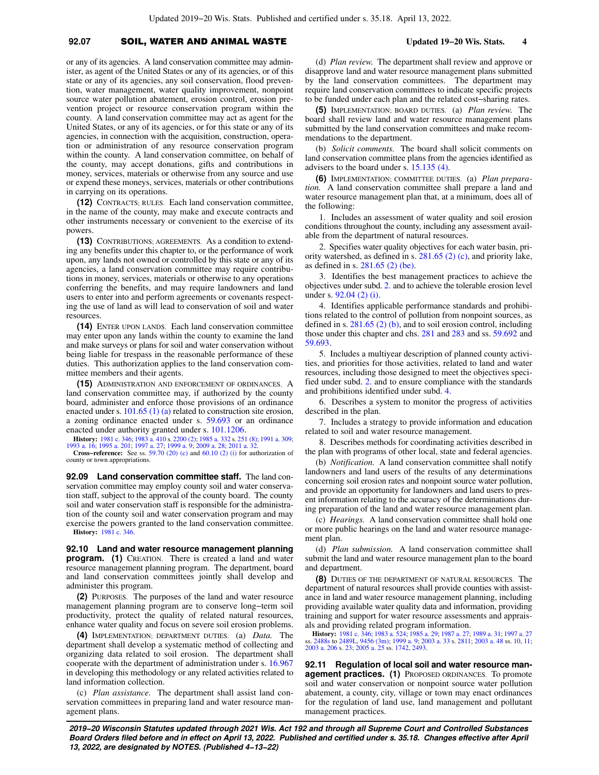# **92.07** SOIL, WATER AND ANIMAL WASTE **Updated 19−20 Wis. Stats. 4**

or any of its agencies. A land conservation committee may administer, as agent of the United States or any of its agencies, or of this state or any of its agencies, any soil conservation, flood prevention, water management, water quality improvement, nonpoint source water pollution abatement, erosion control, erosion prevention project or resource conservation program within the county. A land conservation committee may act as agent for the United States, or any of its agencies, or for this state or any of its agencies, in connection with the acquisition, construction, operation or administration of any resource conservation program within the county. A land conservation committee, on behalf of the county, may accept donations, gifts and contributions in money, services, materials or otherwise from any source and use or expend these moneys, services, materials or other contributions in carrying on its operations.

**(12)** CONTRACTS; RULES. Each land conservation committee, in the name of the county, may make and execute contracts and other instruments necessary or convenient to the exercise of its powers.

**(13)** CONTRIBUTIONS; AGREEMENTS. As a condition to extending any benefits under this chapter to, or the performance of work upon, any lands not owned or controlled by this state or any of its agencies, a land conservation committee may require contributions in money, services, materials or otherwise to any operations conferring the benefits, and may require landowners and land users to enter into and perform agreements or covenants respecting the use of land as will lead to conservation of soil and water resources.

**(14)** ENTER UPON LANDS. Each land conservation committee may enter upon any lands within the county to examine the land and make surveys or plans for soil and water conservation without being liable for trespass in the reasonable performance of these duties. This authorization applies to the land conservation committee members and their agents.

**(15)** ADMINISTRATION AND ENFORCEMENT OF ORDINANCES. A land conservation committee may, if authorized by the county board, administer and enforce those provisions of an ordinance enacted under s. [101.65 \(1\) \(a\)](https://docs-preview.legis.wisconsin.gov/document/statutes/101.65(1)(a)) related to construction site erosion, a zoning ordinance enacted under s. [59.693](https://docs-preview.legis.wisconsin.gov/document/statutes/59.693) or an ordinance enacted under authority granted under s. [101.1206.](https://docs-preview.legis.wisconsin.gov/document/statutes/101.1206)

**History:** [1981 c. 346;](https://docs-preview.legis.wisconsin.gov/document/acts/1981/346) [1983 a. 410](https://docs-preview.legis.wisconsin.gov/document/acts/1983/410) s. [2200 \(2\)](https://docs-preview.legis.wisconsin.gov/document/acts/1983/410,%20s.%202200); [1985 a. 332](https://docs-preview.legis.wisconsin.gov/document/acts/1985/332) s. [251 \(8\);](https://docs-preview.legis.wisconsin.gov/document/acts/1985/332,%20s.%20251) [1991 a. 309](https://docs-preview.legis.wisconsin.gov/document/acts/1991/309); [1993 a. 16](https://docs-preview.legis.wisconsin.gov/document/acts/1993/16); [1995 a. 201;](https://docs-preview.legis.wisconsin.gov/document/acts/1995/201) [1997 a. 27](https://docs-preview.legis.wisconsin.gov/document/acts/1997/27); [1999 a. 9;](https://docs-preview.legis.wisconsin.gov/document/acts/1999/9) [2009 a. 28;](https://docs-preview.legis.wisconsin.gov/document/acts/2009/28) [2011 a. 32.](https://docs-preview.legis.wisconsin.gov/document/acts/2011/32)

**Cross−reference:** See ss. [59.70 \(20\) \(c\)](https://docs-preview.legis.wisconsin.gov/document/statutes/59.70(20)(c)) and [60.10 \(2\) \(i\)](https://docs-preview.legis.wisconsin.gov/document/statutes/60.10(2)(i)) for authorization of county or town appropriations.

**92.09 Land conservation committee staff.** The land conservation committee may employ county soil and water conservation staff, subject to the approval of the county board. The county soil and water conservation staff is responsible for the administration of the county soil and water conservation program and may exercise the powers granted to the land conservation committee. **History:** [1981 c. 346](https://docs-preview.legis.wisconsin.gov/document/acts/1981/346).

**92.10 Land and water resource management planning program. (1)** CREATION. There is created a land and water resource management planning program. The department, board and land conservation committees jointly shall develop and administer this program.

**(2)** PURPOSES. The purposes of the land and water resource management planning program are to conserve long−term soil productivity, protect the quality of related natural resources, enhance water quality and focus on severe soil erosion problems.

**(4)** IMPLEMENTATION; DEPARTMENT DUTIES. (a) *Data.* The department shall develop a systematic method of collecting and organizing data related to soil erosion. The department shall cooperate with the department of administration under s. [16.967](https://docs-preview.legis.wisconsin.gov/document/statutes/16.967) in developing this methodology or any related activities related to land information collection.

(c) *Plan assistance.* The department shall assist land conservation committees in preparing land and water resource management plans.

(d) *Plan review.* The department shall review and approve or disapprove land and water resource management plans submitted by the land conservation committees. The department may require land conservation committees to indicate specific projects to be funded under each plan and the related cost−sharing rates.

**(5)** IMPLEMENTATION; BOARD DUTIES. (a) *Plan review.* The board shall review land and water resource management plans submitted by the land conservation committees and make recommendations to the department.

(b) *Solicit comments.* The board shall solicit comments on land conservation committee plans from the agencies identified as advisers to the board under s. [15.135 \(4\)](https://docs-preview.legis.wisconsin.gov/document/statutes/15.135(4)).

**(6)** IMPLEMENTATION; COMMITTEE DUTIES. (a) *Plan preparation.* A land conservation committee shall prepare a land and water resource management plan that, at a minimum, does all of the following:

1. Includes an assessment of water quality and soil erosion conditions throughout the county, including any assessment available from the department of natural resources.

2. Specifies water quality objectives for each water basin, priority watershed, as defined in s. [281.65 \(2\) \(c\)](https://docs-preview.legis.wisconsin.gov/document/statutes/281.65(2)(c)), and priority lake, as defined in s. [281.65 \(2\) \(be\)](https://docs-preview.legis.wisconsin.gov/document/statutes/281.65(2)(be)).

3. Identifies the best management practices to achieve the objectives under subd. [2.](https://docs-preview.legis.wisconsin.gov/document/statutes/92.10(6)(a)2.) and to achieve the tolerable erosion level under s. [92.04 \(2\) \(i\).](https://docs-preview.legis.wisconsin.gov/document/statutes/92.04(2)(i))

4. Identifies applicable performance standards and prohibitions related to the control of pollution from nonpoint sources, as defined in s.  $281.65$  (2) (b), and to soil erosion control, including those under this chapter and chs. [281](https://docs-preview.legis.wisconsin.gov/document/statutes/ch.%20281) and [283](https://docs-preview.legis.wisconsin.gov/document/statutes/ch.%20283) and ss. [59.692](https://docs-preview.legis.wisconsin.gov/document/statutes/59.692) and [59.693.](https://docs-preview.legis.wisconsin.gov/document/statutes/59.693)

5. Includes a multiyear description of planned county activities, and priorities for those activities, related to land and water resources, including those designed to meet the objectives specified under subd. [2.](https://docs-preview.legis.wisconsin.gov/document/statutes/92.10(6)(a)2.) and to ensure compliance with the standards and prohibitions identified under subd. [4.](https://docs-preview.legis.wisconsin.gov/document/statutes/92.10(6)(a)4.)

6. Describes a system to monitor the progress of activities described in the plan.

7. Includes a strategy to provide information and education related to soil and water resource management.

8. Describes methods for coordinating activities described in the plan with programs of other local, state and federal agencies.

(b) *Notification.* A land conservation committee shall notify landowners and land users of the results of any determinations concerning soil erosion rates and nonpoint source water pollution, and provide an opportunity for landowners and land users to present information relating to the accuracy of the determinations during preparation of the land and water resource management plan.

(c) *Hearings.* A land conservation committee shall hold one or more public hearings on the land and water resource management plan.

(d) *Plan submission.* A land conservation committee shall submit the land and water resource management plan to the board and department.

**(8)** DUTIES OF THE DEPARTMENT OF NATURAL RESOURCES. The department of natural resources shall provide counties with assistance in land and water resource management planning, including providing available water quality data and information, providing training and support for water resource assessments and appraisals and providing related program information.

**History:** [1981 c. 346](https://docs-preview.legis.wisconsin.gov/document/acts/1981/346); [1983 a. 524](https://docs-preview.legis.wisconsin.gov/document/acts/1983/524); [1985 a. 29;](https://docs-preview.legis.wisconsin.gov/document/acts/1985/29) [1987 a. 27;](https://docs-preview.legis.wisconsin.gov/document/acts/1987/27) [1989 a. 31](https://docs-preview.legis.wisconsin.gov/document/acts/1989/31); [1997 a. 27](https://docs-preview.legis.wisconsin.gov/document/acts/1997/27)<br>ss. [2488s](https://docs-preview.legis.wisconsin.gov/document/acts/1997/27,%20s.%202488s) to [2489L,](https://docs-preview.legis.wisconsin.gov/document/acts/1997/27,%20s.%202489L) [9456 \(3m\);](https://docs-preview.legis.wisconsin.gov/document/acts/1997/27,%20s.%209456) [1999 a. 9](https://docs-preview.legis.wisconsin.gov/document/acts/1999/9); [2003 a. 33](https://docs-preview.legis.wisconsin.gov/document/acts/2003/33) s. [2811;](https://docs-preview.legis.wisconsin.gov/document/acts/2003/33,%20s.%202811) [2003 a. 48](https://docs-preview.legis.wisconsin.gov/document/acts/2003/48) ss. [10](https://docs-preview.legis.wisconsin.gov/document/acts/2003/48,%20s.%2010), [11](https://docs-preview.legis.wisconsin.gov/document/acts/2003/48,%20s.%2011);<br>[2003 a. 206](https://docs-preview.legis.wisconsin.gov/document/acts/2003/206) s. [23](https://docs-preview.legis.wisconsin.gov/document/acts/2003/206,%20s.%2023); [2005 a. 25](https://docs-preview.legis.wisconsin.gov/document/acts/2005/25) ss. [1742,](https://docs-preview.legis.wisconsin.gov/document/acts/2005/25,%20s.%201742) [2493.](https://docs-preview.legis.wisconsin.gov/document/acts/2005/25,%20s.%202493)

**92.11 Regulation of local soil and water resource management practices. (1)** PROPOSED ORDINANCES. To promote soil and water conservation or nonpoint source water pollution abatement, a county, city, village or town may enact ordinances for the regulation of land use, land management and pollutant management practices.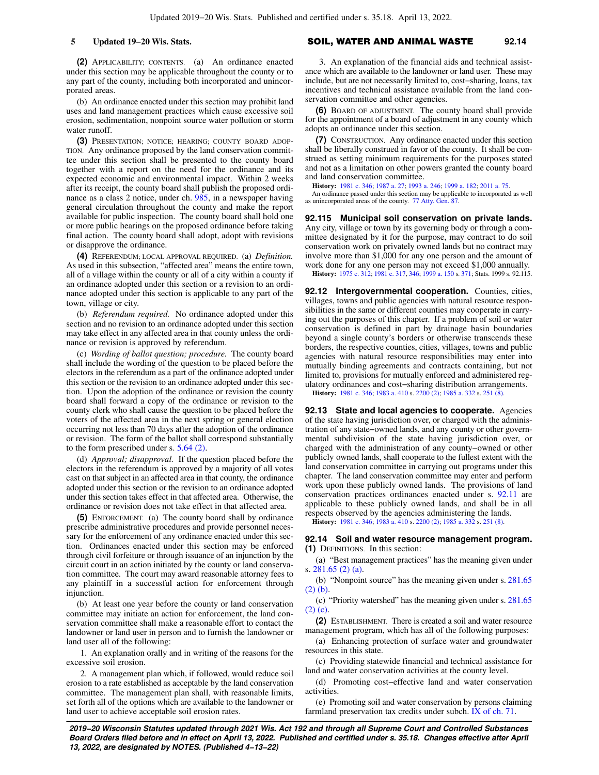**(2)** APPLICABILITY; CONTENTS. (a) An ordinance enacted under this section may be applicable throughout the county or to any part of the county, including both incorporated and unincorporated areas.

(b) An ordinance enacted under this section may prohibit land uses and land management practices which cause excessive soil erosion, sedimentation, nonpoint source water pollution or storm water runoff.

**(3)** PRESENTATION; NOTICE; HEARING; COUNTY BOARD ADOP-TION. Any ordinance proposed by the land conservation committee under this section shall be presented to the county board together with a report on the need for the ordinance and its expected economic and environmental impact. Within 2 weeks after its receipt, the county board shall publish the proposed ordinance as a class 2 notice, under ch. [985,](https://docs-preview.legis.wisconsin.gov/document/statutes/ch.%20985) in a newspaper having general circulation throughout the county and make the report available for public inspection. The county board shall hold one or more public hearings on the proposed ordinance before taking final action. The county board shall adopt, adopt with revisions or disapprove the ordinance.

**(4)** REFERENDUM; LOCAL APPROVAL REQUIRED. (a) *Definition.* As used in this subsection, "affected area" means the entire town, all of a village within the county or all of a city within a county if an ordinance adopted under this section or a revision to an ordinance adopted under this section is applicable to any part of the town, village or city.

(b) *Referendum required.* No ordinance adopted under this section and no revision to an ordinance adopted under this section may take effect in any affected area in that county unless the ordinance or revision is approved by referendum.

(c) *Wording of ballot question; procedure.* The county board shall include the wording of the question to be placed before the electors in the referendum as a part of the ordinance adopted under this section or the revision to an ordinance adopted under this section. Upon the adoption of the ordinance or revision the county board shall forward a copy of the ordinance or revision to the county clerk who shall cause the question to be placed before the voters of the affected area in the next spring or general election occurring not less than 70 days after the adoption of the ordinance or revision. The form of the ballot shall correspond substantially to the form prescribed under s. [5.64 \(2\).](https://docs-preview.legis.wisconsin.gov/document/statutes/5.64(2))

(d) *Approval; disapproval.* If the question placed before the electors in the referendum is approved by a majority of all votes cast on that subject in an affected area in that county, the ordinance adopted under this section or the revision to an ordinance adopted under this section takes effect in that affected area. Otherwise, the ordinance or revision does not take effect in that affected area.

**(5)** ENFORCEMENT. (a) The county board shall by ordinance prescribe administrative procedures and provide personnel necessary for the enforcement of any ordinance enacted under this section. Ordinances enacted under this section may be enforced through civil forfeiture or through issuance of an injunction by the circuit court in an action initiated by the county or land conservation committee. The court may award reasonable attorney fees to any plaintiff in a successful action for enforcement through injunction.

(b) At least one year before the county or land conservation committee may initiate an action for enforcement, the land conservation committee shall make a reasonable effort to contact the landowner or land user in person and to furnish the landowner or land user all of the following:

1. An explanation orally and in writing of the reasons for the excessive soil erosion.

2. A management plan which, if followed, would reduce soil erosion to a rate established as acceptable by the land conservation committee. The management plan shall, with reasonable limits, set forth all of the options which are available to the landowner or land user to achieve acceptable soil erosion rates.

### **5 Updated 19−20 Wis. Stats.** SOIL, WATER AND ANIMAL WASTE **92.14**

3. An explanation of the financial aids and technical assistance which are available to the landowner or land user. These may include, but are not necessarily limited to, cost−sharing, loans, tax incentives and technical assistance available from the land conservation committee and other agencies.

**(6)** BOARD OF ADJUSTMENT. The county board shall provide for the appointment of a board of adjustment in any county which adopts an ordinance under this section.

**(7)** CONSTRUCTION. Any ordinance enacted under this section shall be liberally construed in favor of the county. It shall be construed as setting minimum requirements for the purposes stated and not as a limitation on other powers granted the county board and land conservation committee.

**History:** [1981 c. 346;](https://docs-preview.legis.wisconsin.gov/document/acts/1981/346) [1987 a. 27;](https://docs-preview.legis.wisconsin.gov/document/acts/1987/27) [1993 a. 246](https://docs-preview.legis.wisconsin.gov/document/acts/1993/246); [1999 a. 182](https://docs-preview.legis.wisconsin.gov/document/acts/1999/182); [2011 a. 75.](https://docs-preview.legis.wisconsin.gov/document/acts/2011/75)

An ordinance passed under this section may be applicable to incorporated as well as unincorporated areas of the county. [77 Atty. Gen. 87](https://docs-preview.legis.wisconsin.gov/document/oag/vol77-87).

**92.115 Municipal soil conservation on private lands.** Any city, village or town by its governing body or through a committee designated by it for the purpose, may contract to do soil conservation work on privately owned lands but no contract may involve more than \$1,000 for any one person and the amount of work done for any one person may not exceed \$1,000 annually. **History:** [1975 c. 312](https://docs-preview.legis.wisconsin.gov/document/acts/1975/312); [1981 c. 317,](https://docs-preview.legis.wisconsin.gov/document/acts/1981/317) [346;](https://docs-preview.legis.wisconsin.gov/document/acts/1981/346) [1999 a. 150](https://docs-preview.legis.wisconsin.gov/document/acts/1999/150) s. [371](https://docs-preview.legis.wisconsin.gov/document/acts/1999/150,%20s.%20371); Stats. 1999 s. 92.115.

**92.12 Intergovernmental cooperation.** Counties, cities, villages, towns and public agencies with natural resource responsibilities in the same or different counties may cooperate in carrying out the purposes of this chapter. If a problem of soil or water conservation is defined in part by drainage basin boundaries beyond a single county's borders or otherwise transcends these borders, the respective counties, cities, villages, towns and public agencies with natural resource responsibilities may enter into mutually binding agreements and contracts containing, but not limited to, provisions for mutually enforced and administered regulatory ordinances and cost−sharing distribution arrangements.

**History:** [1981 c. 346;](https://docs-preview.legis.wisconsin.gov/document/acts/1981/346) [1983 a. 410](https://docs-preview.legis.wisconsin.gov/document/acts/1983/410) s. [2200 \(2\)](https://docs-preview.legis.wisconsin.gov/document/acts/1983/410,%20s.%202200); [1985 a. 332](https://docs-preview.legis.wisconsin.gov/document/acts/1985/332) s. [251 \(8\)](https://docs-preview.legis.wisconsin.gov/document/acts/1985/332,%20s.%20251).

**92.13 State and local agencies to cooperate.** Agencies of the state having jurisdiction over, or charged with the administration of any state−owned lands, and any county or other governmental subdivision of the state having jurisdiction over, or charged with the administration of any county−owned or other publicly owned lands, shall cooperate to the fullest extent with the land conservation committee in carrying out programs under this chapter. The land conservation committee may enter and perform work upon these publicly owned lands. The provisions of land conservation practices ordinances enacted under s. [92.11](https://docs-preview.legis.wisconsin.gov/document/statutes/92.11) are applicable to these publicly owned lands, and shall be in all respects observed by the agencies administering the lands.

**History:** [1981 c. 346;](https://docs-preview.legis.wisconsin.gov/document/acts/1981/346) [1983 a. 410](https://docs-preview.legis.wisconsin.gov/document/acts/1983/410) s. [2200 \(2\)](https://docs-preview.legis.wisconsin.gov/document/acts/1983/410,%20s.%202200); [1985 a. 332](https://docs-preview.legis.wisconsin.gov/document/acts/1985/332) s. [251 \(8\)](https://docs-preview.legis.wisconsin.gov/document/acts/1985/332,%20s.%20251).

**92.14 Soil and water resource management program. (1)** DEFINITIONS. In this section:

(a) "Best management practices" has the meaning given under s. [281.65 \(2\) \(a\)](https://docs-preview.legis.wisconsin.gov/document/statutes/281.65(2)(a)).

(b) "Nonpoint source" has the meaning given under s. [281.65](https://docs-preview.legis.wisconsin.gov/document/statutes/281.65(2)(b)) [\(2\) \(b\)](https://docs-preview.legis.wisconsin.gov/document/statutes/281.65(2)(b)).

(c) "Priority watershed" has the meaning given under s. [281.65](https://docs-preview.legis.wisconsin.gov/document/statutes/281.65(2)(c)) [\(2\) \(c\).](https://docs-preview.legis.wisconsin.gov/document/statutes/281.65(2)(c))

**(2)** ESTABLISHMENT. There is created a soil and water resource management program, which has all of the following purposes:

(a) Enhancing protection of surface water and groundwater resources in this state.

(c) Providing statewide financial and technical assistance for land and water conservation activities at the county level.

(d) Promoting cost−effective land and water conservation activities.

(e) Promoting soil and water conservation by persons claiming farmland preservation tax credits under subch. [IX of ch. 71.](https://docs-preview.legis.wisconsin.gov/document/statutes/subch.%20IX%20of%20ch.%2071)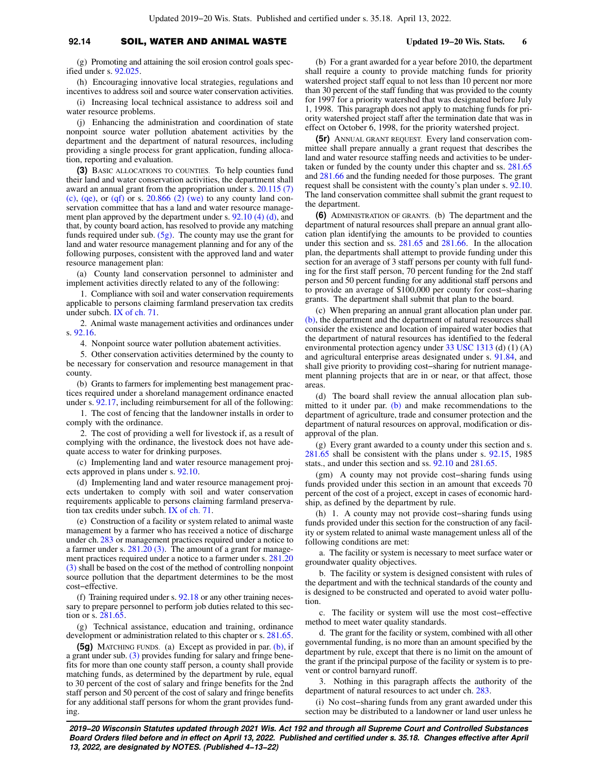### **92.14** SOIL, WATER AND ANIMAL WASTE **Updated 19−20 Wis. Stats. 6**

(g) Promoting and attaining the soil erosion control goals specified under s. [92.025](https://docs-preview.legis.wisconsin.gov/document/statutes/92.025).

(h) Encouraging innovative local strategies, regulations and incentives to address soil and source water conservation activities.

(i) Increasing local technical assistance to address soil and water resource problems.

(j) Enhancing the administration and coordination of state nonpoint source water pollution abatement activities by the department and the department of natural resources, including providing a single process for grant application, funding allocation, reporting and evaluation.

**(3)** BASIC ALLOCATIONS TO COUNTIES. To help counties fund their land and water conservation activities, the department shall award an annual grant from the appropriation under s. [20.115 \(7\)](https://docs-preview.legis.wisconsin.gov/document/statutes/20.115(7)(c)) [\(c\),](https://docs-preview.legis.wisconsin.gov/document/statutes/20.115(7)(c)) [\(qe\),](https://docs-preview.legis.wisconsin.gov/document/statutes/20.115(7)(qe)) or [\(qf\)](https://docs-preview.legis.wisconsin.gov/document/statutes/20.115(7)(qf)) or s.  $20.866$  (2) (we) to any county land conservation committee that has a land and water resource management plan approved by the department under s. [92.10 \(4\) \(d\),](https://docs-preview.legis.wisconsin.gov/document/statutes/92.10(4)(d)) and that, by county board action, has resolved to provide any matching funds required under sub. [\(5g\)](https://docs-preview.legis.wisconsin.gov/document/statutes/92.14(5g)). The county may use the grant for land and water resource management planning and for any of the following purposes, consistent with the approved land and water resource management plan:

(a) County land conservation personnel to administer and implement activities directly related to any of the following:

1. Compliance with soil and water conservation requirements applicable to persons claiming farmland preservation tax credits under subch. [IX of ch. 71](https://docs-preview.legis.wisconsin.gov/document/statutes/subch.%20IX%20of%20ch.%2071).

2. Animal waste management activities and ordinances under s. [92.16](https://docs-preview.legis.wisconsin.gov/document/statutes/92.16).

4. Nonpoint source water pollution abatement activities.

5. Other conservation activities determined by the county to be necessary for conservation and resource management in that county.

(b) Grants to farmers for implementing best management practices required under a shoreland management ordinance enacted under s. [92.17,](https://docs-preview.legis.wisconsin.gov/document/statutes/92.17) including reimbursement for all of the following:

1. The cost of fencing that the landowner installs in order to comply with the ordinance.

2. The cost of providing a well for livestock if, as a result of complying with the ordinance, the livestock does not have adequate access to water for drinking purposes.

(c) Implementing land and water resource management projects approved in plans under s. [92.10](https://docs-preview.legis.wisconsin.gov/document/statutes/92.10).

(d) Implementing land and water resource management projects undertaken to comply with soil and water conservation requirements applicable to persons claiming farmland preservation tax credits under subch. [IX of ch. 71](https://docs-preview.legis.wisconsin.gov/document/statutes/subch.%20IX%20of%20ch.%2071).

(e) Construction of a facility or system related to animal waste management by a farmer who has received a notice of discharge under ch. [283](https://docs-preview.legis.wisconsin.gov/document/statutes/ch.%20283) or management practices required under a notice to a farmer under s. [281.20 \(3\)](https://docs-preview.legis.wisconsin.gov/document/statutes/281.20(3)). The amount of a grant for management practices required under a notice to a farmer under s. [281.20](https://docs-preview.legis.wisconsin.gov/document/statutes/281.20(3)) [\(3\)](https://docs-preview.legis.wisconsin.gov/document/statutes/281.20(3)) shall be based on the cost of the method of controlling nonpoint source pollution that the department determines to be the most cost−effective.

(f) Training required under s. [92.18](https://docs-preview.legis.wisconsin.gov/document/statutes/92.18) or any other training necessary to prepare personnel to perform job duties related to this section or s. [281.65.](https://docs-preview.legis.wisconsin.gov/document/statutes/281.65)

(g) Technical assistance, education and training, ordinance development or administration related to this chapter or s. [281.65.](https://docs-preview.legis.wisconsin.gov/document/statutes/281.65)

**(5g)** MATCHING FUNDS. (a) Except as provided in par. [\(b\)](https://docs-preview.legis.wisconsin.gov/document/statutes/92.14(5g)(b)), if a grant under sub. [\(3\)](https://docs-preview.legis.wisconsin.gov/document/statutes/92.14(3)) provides funding for salary and fringe benefits for more than one county staff person, a county shall provide matching funds, as determined by the department by rule, equal to 30 percent of the cost of salary and fringe benefits for the 2nd staff person and 50 percent of the cost of salary and fringe benefits for any additional staff persons for whom the grant provides funding.

(b) For a grant awarded for a year before 2010, the department shall require a county to provide matching funds for priority watershed project staff equal to not less than 10 percent nor more than 30 percent of the staff funding that was provided to the county for 1997 for a priority watershed that was designated before July 1, 1998. This paragraph does not apply to matching funds for priority watershed project staff after the termination date that was in effect on October 6, 1998, for the priority watershed project.

**(5r)** ANNUAL GRANT REQUEST. Every land conservation committee shall prepare annually a grant request that describes the land and water resource staffing needs and activities to be undertaken or funded by the county under this chapter and ss. [281.65](https://docs-preview.legis.wisconsin.gov/document/statutes/281.65) and [281.66](https://docs-preview.legis.wisconsin.gov/document/statutes/281.66) and the funding needed for those purposes. The grant request shall be consistent with the county's plan under s. [92.10.](https://docs-preview.legis.wisconsin.gov/document/statutes/92.10) The land conservation committee shall submit the grant request to the department.

**(6)** ADMINISTRATION OF GRANTS. (b) The department and the department of natural resources shall prepare an annual grant allocation plan identifying the amounts to be provided to counties under this section and ss. [281.65](https://docs-preview.legis.wisconsin.gov/document/statutes/281.65) and [281.66.](https://docs-preview.legis.wisconsin.gov/document/statutes/281.66) In the allocation plan, the departments shall attempt to provide funding under this section for an average of 3 staff persons per county with full funding for the first staff person, 70 percent funding for the 2nd staff person and 50 percent funding for any additional staff persons and to provide an average of \$100,000 per county for cost−sharing grants. The department shall submit that plan to the board.

(c) When preparing an annual grant allocation plan under par. [\(b\),](https://docs-preview.legis.wisconsin.gov/document/statutes/92.14(6)(b)) the department and the department of natural resources shall consider the existence and location of impaired water bodies that the department of natural resources has identified to the federal environmental protection agency under [33 USC 1313](https://docs-preview.legis.wisconsin.gov/document/usc/33%20USC%201313) (d) (1) (A) and agricultural enterprise areas designated under s. [91.84](https://docs-preview.legis.wisconsin.gov/document/statutes/91.84), and shall give priority to providing cost−sharing for nutrient management planning projects that are in or near, or that affect, those areas.

(d) The board shall review the annual allocation plan sub-mitted to it under par. [\(b\)](https://docs-preview.legis.wisconsin.gov/document/statutes/92.14(6)(b)) and make recommendations to the department of agriculture, trade and consumer protection and the department of natural resources on approval, modification or disapproval of the plan.

(g) Every grant awarded to a county under this section and s. [281.65](https://docs-preview.legis.wisconsin.gov/document/statutes/281.65) shall be consistent with the plans under s. [92.15,](https://docs-preview.legis.wisconsin.gov/document/statutes/1985/92.15) 1985 stats., and under this section and ss. [92.10](https://docs-preview.legis.wisconsin.gov/document/statutes/92.10) and [281.65](https://docs-preview.legis.wisconsin.gov/document/statutes/281.65).

(gm) A county may not provide cost−sharing funds using funds provided under this section in an amount that exceeds 70 percent of the cost of a project, except in cases of economic hardship, as defined by the department by rule.

(h) 1. A county may not provide cost−sharing funds using funds provided under this section for the construction of any facility or system related to animal waste management unless all of the following conditions are met:

a. The facility or system is necessary to meet surface water or groundwater quality objectives.

b. The facility or system is designed consistent with rules of the department and with the technical standards of the county and is designed to be constructed and operated to avoid water pollution.

c. The facility or system will use the most cost−effective method to meet water quality standards.

d. The grant for the facility or system, combined with all other governmental funding, is no more than an amount specified by the department by rule, except that there is no limit on the amount of the grant if the principal purpose of the facility or system is to prevent or control barnyard runoff.

3. Nothing in this paragraph affects the authority of the department of natural resources to act under ch. [283](https://docs-preview.legis.wisconsin.gov/document/statutes/ch.%20283).

(i) No cost−sharing funds from any grant awarded under this section may be distributed to a landowner or land user unless he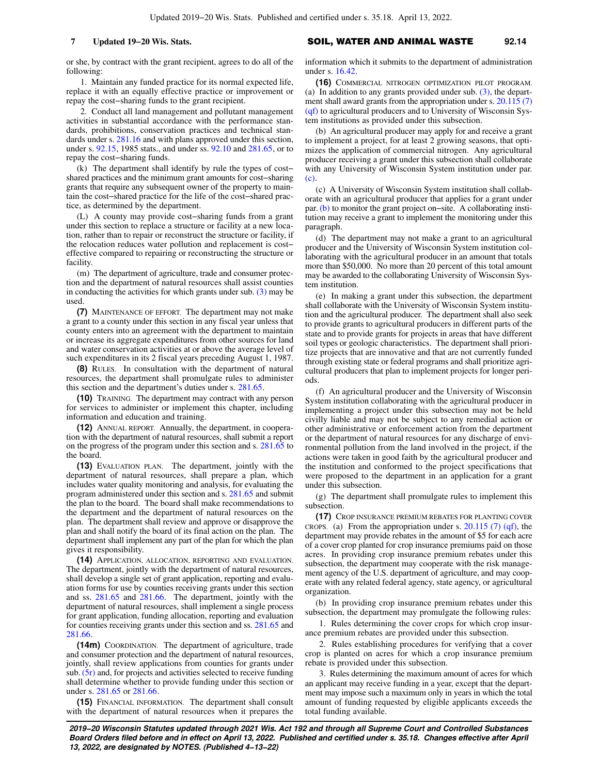or she, by contract with the grant recipient, agrees to do all of the following:

1. Maintain any funded practice for its normal expected life, replace it with an equally effective practice or improvement or repay the cost−sharing funds to the grant recipient.

2. Conduct all land management and pollutant management activities in substantial accordance with the performance standards, prohibitions, conservation practices and technical standards under s.  $281.16$  and with plans approved under this section, under s. [92.15,](https://docs-preview.legis.wisconsin.gov/document/statutes/1985/92.15) 1985 stats., and under ss. [92.10](https://docs-preview.legis.wisconsin.gov/document/statutes/92.10) and [281.65,](https://docs-preview.legis.wisconsin.gov/document/statutes/281.65) or to repay the cost−sharing funds.

(k) The department shall identify by rule the types of cost− shared practices and the minimum grant amounts for cost−sharing grants that require any subsequent owner of the property to maintain the cost−shared practice for the life of the cost−shared practice, as determined by the department.

(L) A county may provide cost−sharing funds from a grant under this section to replace a structure or facility at a new location, rather than to repair or reconstruct the structure or facility, if the relocation reduces water pollution and replacement is cost− effective compared to repairing or reconstructing the structure or facility.

(m) The department of agriculture, trade and consumer protection and the department of natural resources shall assist counties in conducting the activities for which grants under sub.  $(3)$  may be used.

**(7)** MAINTENANCE OF EFFORT. The department may not make a grant to a county under this section in any fiscal year unless that county enters into an agreement with the department to maintain or increase its aggregate expenditures from other sources for land and water conservation activities at or above the average level of such expenditures in its 2 fiscal years preceding August 1, 1987.

**(8)** RULES. In consultation with the department of natural resources, the department shall promulgate rules to administer this section and the department's duties under s. [281.65](https://docs-preview.legis.wisconsin.gov/document/statutes/281.65).

**(10)** TRAINING. The department may contract with any person for services to administer or implement this chapter, including information and education and training.

**(12)** ANNUAL REPORT. Annually, the department, in cooperation with the department of natural resources, shall submit a report on the progress of the program under this section and s. [281.65](https://docs-preview.legis.wisconsin.gov/document/statutes/281.65) to the board.

**(13)** EVALUATION PLAN. The department, jointly with the department of natural resources, shall prepare a plan, which includes water quality monitoring and analysis, for evaluating the program administered under this section and s. [281.65](https://docs-preview.legis.wisconsin.gov/document/statutes/281.65) and submit the plan to the board. The board shall make recommendations to the department and the department of natural resources on the plan. The department shall review and approve or disapprove the plan and shall notify the board of its final action on the plan. The department shall implement any part of the plan for which the plan gives it responsibility.

**(14)** APPLICATION, ALLOCATION, REPORTING AND EVALUATION. The department, jointly with the department of natural resources, shall develop a single set of grant application, reporting and evaluation forms for use by counties receiving grants under this section and ss. [281.65](https://docs-preview.legis.wisconsin.gov/document/statutes/281.65) and [281.66.](https://docs-preview.legis.wisconsin.gov/document/statutes/281.66) The department, jointly with the department of natural resources, shall implement a single process for grant application, funding allocation, reporting and evaluation for counties receiving grants under this section and ss. [281.65](https://docs-preview.legis.wisconsin.gov/document/statutes/281.65) and [281.66.](https://docs-preview.legis.wisconsin.gov/document/statutes/281.66)

**(14m)** COORDINATION. The department of agriculture, trade and consumer protection and the department of natural resources, jointly, shall review applications from counties for grants under sub.[\(5r\)](https://docs-preview.legis.wisconsin.gov/document/statutes/92.14(5r)) and, for projects and activities selected to receive funding shall determine whether to provide funding under this section or under s. [281.65](https://docs-preview.legis.wisconsin.gov/document/statutes/281.65) or [281.66.](https://docs-preview.legis.wisconsin.gov/document/statutes/281.66)

**(15)** FINANCIAL INFORMATION. The department shall consult with the department of natural resources when it prepares the

**7 Updated 19−20 Wis. Stats.** SOIL, WATER AND ANIMAL WASTE 92.14

information which it submits to the department of administration under s. [16.42](https://docs-preview.legis.wisconsin.gov/document/statutes/16.42).

**(16)** COMMERCIAL NITROGEN OPTIMIZATION PILOT PROGRAM. (a) In addition to any grants provided under sub. [\(3\)](https://docs-preview.legis.wisconsin.gov/document/statutes/92.14(3)), the department shall award grants from the appropriation under s. [20.115 \(7\)](https://docs-preview.legis.wisconsin.gov/document/statutes/20.115(7)(qf))  $(qf)$  to agricultural producers and to University of Wisconsin System institutions as provided under this subsection.

(b) An agricultural producer may apply for and receive a grant to implement a project, for at least 2 growing seasons, that optimizes the application of commercial nitrogen. Any agricultural producer receiving a grant under this subsection shall collaborate with any University of Wisconsin System institution under par. [\(c\)](https://docs-preview.legis.wisconsin.gov/document/statutes/92.14(16)(c)).

(c) A University of Wisconsin System institution shall collaborate with an agricultural producer that applies for a grant under par. [\(b\)](https://docs-preview.legis.wisconsin.gov/document/statutes/92.14(16)(b)) to monitor the grant project on−site. A collaborating institution may receive a grant to implement the monitoring under this paragraph.

(d) The department may not make a grant to an agricultural producer and the University of Wisconsin System institution collaborating with the agricultural producer in an amount that totals more than \$50,000. No more than 20 percent of this total amount may be awarded to the collaborating University of Wisconsin System institution.

(e) In making a grant under this subsection, the department shall collaborate with the University of Wisconsin System institution and the agricultural producer. The department shall also seek to provide grants to agricultural producers in different parts of the state and to provide grants for projects in areas that have different soil types or geologic characteristics. The department shall prioritize projects that are innovative and that are not currently funded through existing state or federal programs and shall prioritize agricultural producers that plan to implement projects for longer periods.

(f) An agricultural producer and the University of Wisconsin System institution collaborating with the agricultural producer in implementing a project under this subsection may not be held civilly liable and may not be subject to any remedial action or other administrative or enforcement action from the department or the department of natural resources for any discharge of environmental pollution from the land involved in the project, if the actions were taken in good faith by the agricultural producer and the institution and conformed to the project specifications that were proposed to the department in an application for a grant under this subsection.

(g) The department shall promulgate rules to implement this subsection.

**(17)** CROP INSURANCE PREMIUM REBATES FOR PLANTING COVER CROPS. (a) From the appropriation under s.  $20.115$  (7) (qf), the department may provide rebates in the amount of \$5 for each acre of a cover crop planted for crop insurance premiums paid on those acres. In providing crop insurance premium rebates under this subsection, the department may cooperate with the risk management agency of the U.S. department of agriculture, and may cooperate with any related federal agency, state agency, or agricultural organization.

(b) In providing crop insurance premium rebates under this subsection, the department may promulgate the following rules:

1. Rules determining the cover crops for which crop insurance premium rebates are provided under this subsection.

2. Rules establishing procedures for verifying that a cover crop is planted on acres for which a crop insurance premium rebate is provided under this subsection.

3. Rules determining the maximum amount of acres for which an applicant may receive funding in a year, except that the department may impose such a maximum only in years in which the total amount of funding requested by eligible applicants exceeds the total funding available.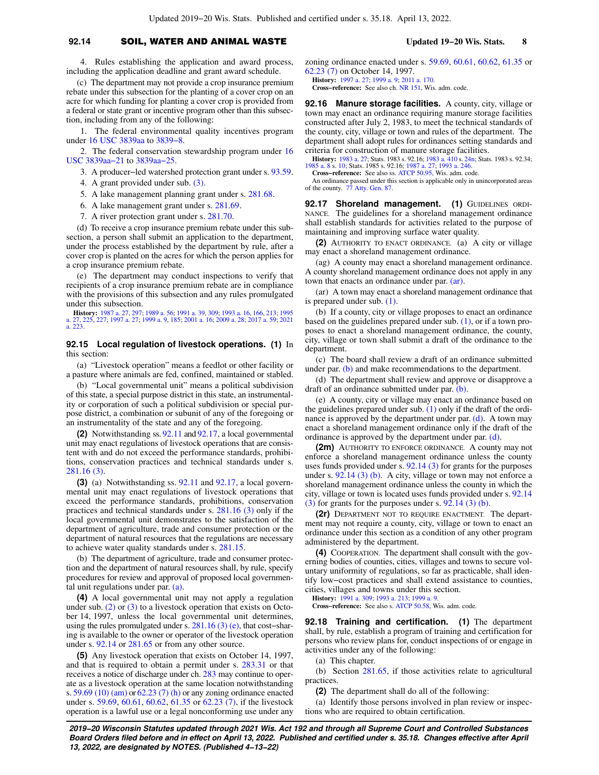## **92.14** SOIL, WATER AND ANIMAL WASTE **Updated 19−20 Wis. Stats. 8**

4. Rules establishing the application and award process, including the application deadline and grant award schedule.

(c) The department may not provide a crop insurance premium rebate under this subsection for the planting of a cover crop on an acre for which funding for planting a cover crop is provided from a federal or state grant or incentive program other than this subsection, including from any of the following:

1. The federal environmental quality incentives program under [16 USC 3839aa](https://docs-preview.legis.wisconsin.gov/document/usc/16%20USC%203839aa) to [3839−8.](https://docs-preview.legis.wisconsin.gov/document/usc/16%20USC%203839-8)

2. The federal conservation stewardship program under [16](https://docs-preview.legis.wisconsin.gov/document/usc/16%20USC%203839aa-21) [USC 3839aa−21](https://docs-preview.legis.wisconsin.gov/document/usc/16%20USC%203839aa-21) to [3839aa−25.](https://docs-preview.legis.wisconsin.gov/document/usc/16%20USC%203839aa-25)

3. A producer−led watershed protection grant under s. [93.59.](https://docs-preview.legis.wisconsin.gov/document/statutes/93.59)

4. A grant provided under sub. [\(3\)](https://docs-preview.legis.wisconsin.gov/document/statutes/92.14(3)).

5. A lake management planning grant under s. [281.68.](https://docs-preview.legis.wisconsin.gov/document/statutes/281.68)

- 6. A lake management grant under s. [281.69.](https://docs-preview.legis.wisconsin.gov/document/statutes/281.69)
- 7. A river protection grant under s. [281.70](https://docs-preview.legis.wisconsin.gov/document/statutes/281.70).

(d) To receive a crop insurance premium rebate under this subsection, a person shall submit an application to the department, under the process established by the department by rule, after a cover crop is planted on the acres for which the person applies for a crop insurance premium rebate.

(e) The department may conduct inspections to verify that recipients of a crop insurance premium rebate are in compliance with the provisions of this subsection and any rules promulgated under this subsection.

**History:** [1987 a. 27](https://docs-preview.legis.wisconsin.gov/document/acts/1987/27), [297](https://docs-preview.legis.wisconsin.gov/document/acts/1987/297); [1989 a. 56](https://docs-preview.legis.wisconsin.gov/document/acts/1989/56); [1991 a. 39](https://docs-preview.legis.wisconsin.gov/document/acts/1991/39), [309](https://docs-preview.legis.wisconsin.gov/document/acts/1991/309); [1993 a. 16](https://docs-preview.legis.wisconsin.gov/document/acts/1993/16), [166,](https://docs-preview.legis.wisconsin.gov/document/acts/1993/166) [213;](https://docs-preview.legis.wisconsin.gov/document/acts/1993/213) [1995](https://docs-preview.legis.wisconsin.gov/document/acts/1995/27) [a. 27](https://docs-preview.legis.wisconsin.gov/document/acts/1995/27), [225](https://docs-preview.legis.wisconsin.gov/document/acts/1995/225), [227](https://docs-preview.legis.wisconsin.gov/document/acts/1995/227); [1997 a. 27;](https://docs-preview.legis.wisconsin.gov/document/acts/1997/27) [1999 a. 9,](https://docs-preview.legis.wisconsin.gov/document/acts/1999/9) [185;](https://docs-preview.legis.wisconsin.gov/document/acts/1999/185) [2001 a. 16](https://docs-preview.legis.wisconsin.gov/document/acts/2001/16); [2009 a. 28;](https://docs-preview.legis.wisconsin.gov/document/acts/2009/28) [2017 a. 59;](https://docs-preview.legis.wisconsin.gov/document/acts/2017/59) [2021](https://docs-preview.legis.wisconsin.gov/document/acts/2021/223) [a. 223.](https://docs-preview.legis.wisconsin.gov/document/acts/2021/223)

#### **92.15 Local regulation of livestock operations. (1)** In this section:

(a) "Livestock operation" means a feedlot or other facility or a pasture where animals are fed, confined, maintained or stabled.

(b) "Local governmental unit" means a political subdivision of this state, a special purpose district in this state, an instrumentality or corporation of such a political subdivision or special purpose district, a combination or subunit of any of the foregoing or an instrumentality of the state and any of the foregoing.

**(2)** Notwithstanding ss. [92.11](https://docs-preview.legis.wisconsin.gov/document/statutes/92.11) and [92.17](https://docs-preview.legis.wisconsin.gov/document/statutes/92.17), a local governmental unit may enact regulations of livestock operations that are consistent with and do not exceed the performance standards, prohibitions, conservation practices and technical standards under s. [281.16 \(3\).](https://docs-preview.legis.wisconsin.gov/document/statutes/281.16(3))

**(3)** (a) Notwithstanding ss. [92.11](https://docs-preview.legis.wisconsin.gov/document/statutes/92.11) and [92.17](https://docs-preview.legis.wisconsin.gov/document/statutes/92.17), a local governmental unit may enact regulations of livestock operations that exceed the performance standards, prohibitions, conservation practices and technical standards under s. [281.16 \(3\)](https://docs-preview.legis.wisconsin.gov/document/statutes/281.16(3)) only if the local governmental unit demonstrates to the satisfaction of the department of agriculture, trade and consumer protection or the department of natural resources that the regulations are necessary to achieve water quality standards under s. [281.15](https://docs-preview.legis.wisconsin.gov/document/statutes/281.15).

(b) The department of agriculture, trade and consumer protection and the department of natural resources shall, by rule, specify procedures for review and approval of proposed local governmental unit regulations under par. [\(a\)](https://docs-preview.legis.wisconsin.gov/document/statutes/92.15(3)(a)).

**(4)** A local governmental unit may not apply a regulation under sub.  $(2)$  or  $(3)$  to a livestock operation that exists on October 14, 1997, unless the local governmental unit determines, using the rules promulgated under s. [281.16 \(3\) \(e\)](https://docs-preview.legis.wisconsin.gov/document/statutes/281.16(3)(e)), that cost−sharing is available to the owner or operator of the livestock operation under s. [92.14](https://docs-preview.legis.wisconsin.gov/document/statutes/92.14) or [281.65](https://docs-preview.legis.wisconsin.gov/document/statutes/281.65) or from any other source.

**(5)** Any livestock operation that exists on October 14, 1997, and that is required to obtain a permit under s. [283.31](https://docs-preview.legis.wisconsin.gov/document/statutes/283.31) or that receives a notice of discharge under ch. [283](https://docs-preview.legis.wisconsin.gov/document/statutes/ch.%20283) may continue to operate as a livestock operation at the same location notwithstanding s. [59.69 \(10\) \(am\)](https://docs-preview.legis.wisconsin.gov/document/statutes/59.69(10)(am)) or [62.23 \(7\) \(h\)](https://docs-preview.legis.wisconsin.gov/document/statutes/62.23(7)(h)) or any zoning ordinance enacted under s. [59.69,](https://docs-preview.legis.wisconsin.gov/document/statutes/59.69) [60.61,](https://docs-preview.legis.wisconsin.gov/document/statutes/60.61) [60.62,](https://docs-preview.legis.wisconsin.gov/document/statutes/60.62) [61.35](https://docs-preview.legis.wisconsin.gov/document/statutes/61.35) or [62.23 \(7\)](https://docs-preview.legis.wisconsin.gov/document/statutes/62.23(7)), if the livestock operation is a lawful use or a legal nonconforming use under any zoning ordinance enacted under s. [59.69](https://docs-preview.legis.wisconsin.gov/document/statutes/59.69), [60.61](https://docs-preview.legis.wisconsin.gov/document/statutes/60.61), [60.62](https://docs-preview.legis.wisconsin.gov/document/statutes/60.62), [61.35](https://docs-preview.legis.wisconsin.gov/document/statutes/61.35) or [62.23 \(7\)](https://docs-preview.legis.wisconsin.gov/document/statutes/62.23(7)) on October 14, 1997.

**History:** [1997 a. 27](https://docs-preview.legis.wisconsin.gov/document/acts/1997/27); [1999 a. 9;](https://docs-preview.legis.wisconsin.gov/document/acts/1999/9) [2011 a. 170](https://docs-preview.legis.wisconsin.gov/document/acts/2011/170). **Cross−reference:** See also ch. [NR 151](https://docs-preview.legis.wisconsin.gov/document/administrativecode/ch.%20NR%20151), Wis. adm. code.

**92.16 Manure storage facilities.** A county, city, village or town may enact an ordinance requiring manure storage facilities constructed after July 2, 1983, to meet the technical standards of the county, city, village or town and rules of the department. The department shall adopt rules for ordinances setting standards and criteria for construction of manure storage facilities.

**History:** [1983 a. 27](https://docs-preview.legis.wisconsin.gov/document/acts/1983/27); Stats. 1983 s. 92.16; [1983 a. 410](https://docs-preview.legis.wisconsin.gov/document/acts/1983/410) s. [24n](https://docs-preview.legis.wisconsin.gov/document/acts/1983/410,%20s.%2024n); Stats. 1983 s. 92.34; [1985 a. 8](https://docs-preview.legis.wisconsin.gov/document/acts/1985/8) s. [10;](https://docs-preview.legis.wisconsin.gov/document/acts/1985/8,%20s.%2010) Stats. 1985 s. 92.16; [1987 a. 27;](https://docs-preview.legis.wisconsin.gov/document/acts/1987/27) [1993 a. 246](https://docs-preview.legis.wisconsin.gov/document/acts/1993/246). **Cross−reference:** See also ss. [ATCP 50.95,](https://docs-preview.legis.wisconsin.gov/document/administrativecode/ATCP%2050.95) Wis. adm. code.

An ordinance passed under this section is applicable only in unincorporated areas of the county. [77 Atty. Gen. 87](https://docs-preview.legis.wisconsin.gov/document/oag/vol77-87).

92.17 Shoreland management. (1) GUIDELINES ORDI-NANCE. The guidelines for a shoreland management ordinance shall establish standards for activities related to the purpose of maintaining and improving surface water quality.

**(2)** AUTHORITY TO ENACT ORDINANCE. (a) A city or village may enact a shoreland management ordinance.

(ag) A county may enact a shoreland management ordinance. A county shoreland management ordinance does not apply in any town that enacts an ordinance under par. [\(ar\)](https://docs-preview.legis.wisconsin.gov/document/statutes/92.17(2)(ar)).

(ar) A town may enact a shoreland management ordinance that is prepared under sub. [\(1\).](https://docs-preview.legis.wisconsin.gov/document/statutes/92.17(1))

(b) If a county, city or village proposes to enact an ordinance based on the guidelines prepared under sub. [\(1\),](https://docs-preview.legis.wisconsin.gov/document/statutes/92.17(1)) or if a town proposes to enact a shoreland management ordinance, the county, city, village or town shall submit a draft of the ordinance to the department.

(c) The board shall review a draft of an ordinance submitted under par. [\(b\)](https://docs-preview.legis.wisconsin.gov/document/statutes/92.17(2)(b)) and make recommendations to the department.

(d) The department shall review and approve or disapprove a draft of an ordinance submitted under par. [\(b\).](https://docs-preview.legis.wisconsin.gov/document/statutes/92.17(2)(b))

(e) A county, city or village may enact an ordinance based on the guidelines prepared under sub.  $(1)$  only if the draft of the ordinance is approved by the department under par. [\(d\).](https://docs-preview.legis.wisconsin.gov/document/statutes/92.17(2)(d)) A town may enact a shoreland management ordinance only if the draft of the ordinance is approved by the department under par. [\(d\).](https://docs-preview.legis.wisconsin.gov/document/statutes/92.17(2)(d))

**(2m)** AUTHORITY TO ENFORCE ORDINANCE. A county may not enforce a shoreland management ordinance unless the county uses funds provided under s. [92.14 \(3\)](https://docs-preview.legis.wisconsin.gov/document/statutes/92.14(3)) for grants for the purposes under s. [92.14 \(3\) \(b\).](https://docs-preview.legis.wisconsin.gov/document/statutes/92.14(3)(b)) A city, village or town may not enforce a shoreland management ordinance unless the county in which the city, village or town is located uses funds provided under s. [92.14](https://docs-preview.legis.wisconsin.gov/document/statutes/92.14(3))  $(3)$  for grants for the purposes under s.  $92.14$   $(3)$   $(b)$ .

**(2r)** DEPARTMENT NOT TO REQUIRE ENACTMENT. The department may not require a county, city, village or town to enact an ordinance under this section as a condition of any other program administered by the department.

**(4)** COOPERATION. The department shall consult with the governing bodies of counties, cities, villages and towns to secure voluntary uniformity of regulations, so far as practicable, shall identify low−cost practices and shall extend assistance to counties, cities, villages and towns under this section.

**History:** [1991 a. 309;](https://docs-preview.legis.wisconsin.gov/document/acts/1991/309) [1993 a. 213](https://docs-preview.legis.wisconsin.gov/document/acts/1993/213); [1999 a. 9.](https://docs-preview.legis.wisconsin.gov/document/acts/1999/9)

**Cross−reference:** See also s. [ATCP 50.58](https://docs-preview.legis.wisconsin.gov/document/administrativecode/ATCP%2050.58), Wis. adm. code.

**92.18 Training and certification. (1)** The department shall, by rule, establish a program of training and certification for persons who review plans for, conduct inspections of or engage in activities under any of the following:

(a) This chapter.

(b) Section [281.65,](https://docs-preview.legis.wisconsin.gov/document/statutes/281.65) if those activities relate to agricultural practices.

**(2)** The department shall do all of the following:

(a) Identify those persons involved in plan review or inspections who are required to obtain certification.